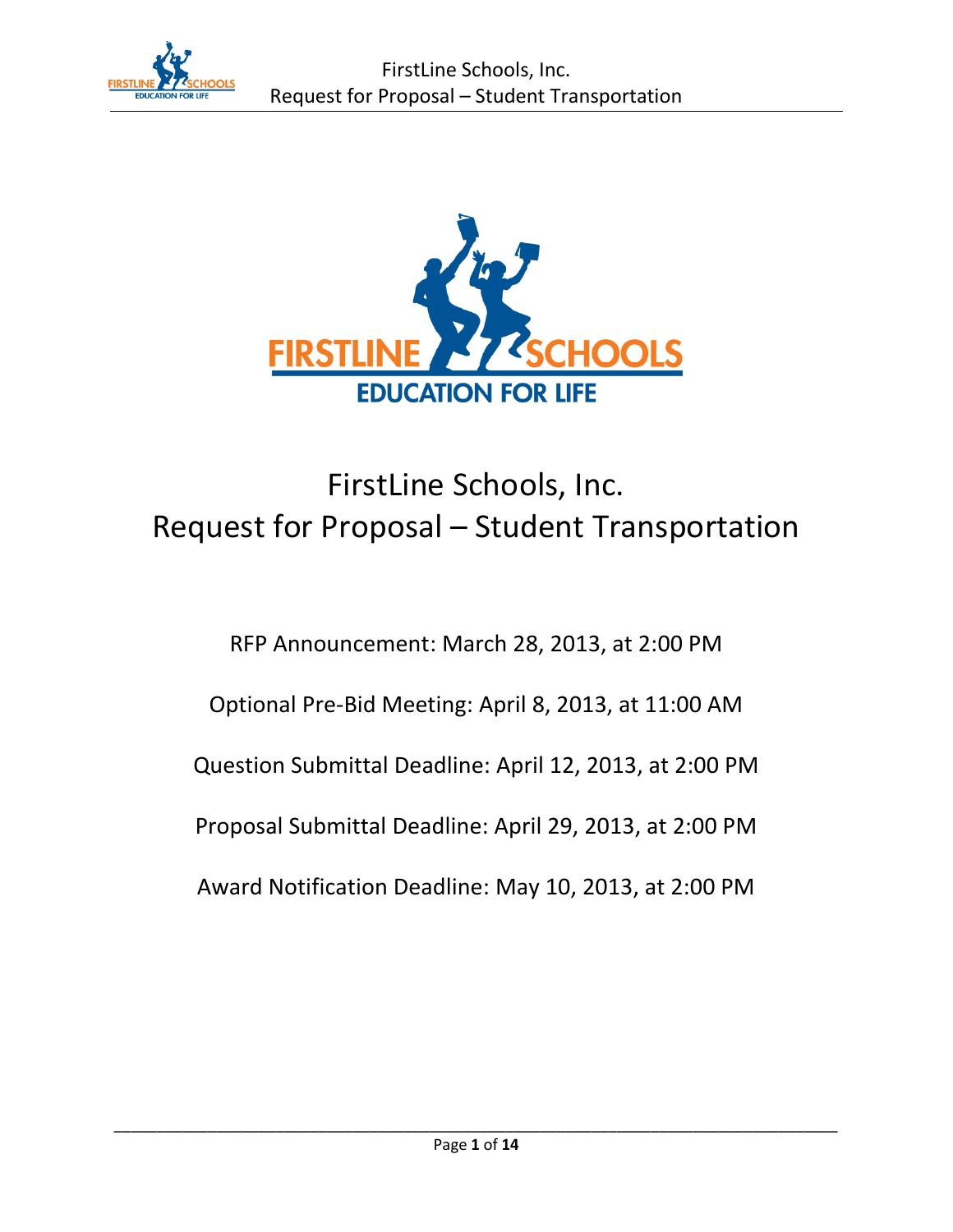



# FirstLine Schools, Inc. Request for Proposal – Student Transportation

# RFP Announcement: March 28, 2013, at 2:00 PM Optional Pre-Bid Meeting: April 8, 2013, at 11:00 AM Question Submittal Deadline: April 12, 2013, at 2:00 PM Proposal Submittal Deadline: April 29, 2013, at 2:00 PM Award Notification Deadline: May 10, 2013, at 2:00 PM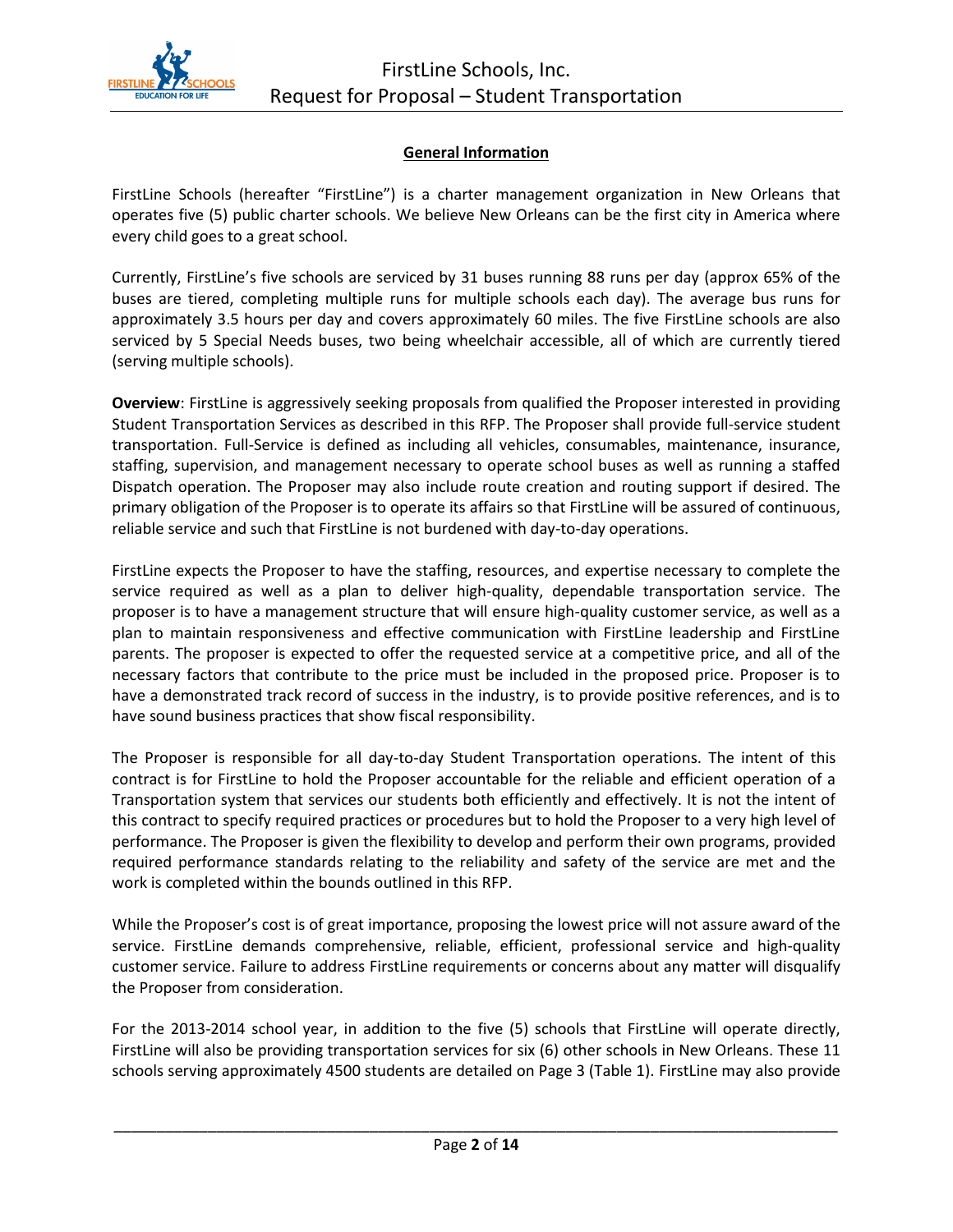

#### **General Information**

FirstLine Schools (hereafter "FirstLine") is a charter management organization in New Orleans that operates five (5) public charter schools. We believe New Orleans can be the first city in America where every child goes to a great school.

Currently, FirstLine's five schools are serviced by 31 buses running 88 runs per day (approx 65% of the buses are tiered, completing multiple runs for multiple schools each day). The average bus runs for approximately 3.5 hours per day and covers approximately 60 miles. The five FirstLine schools are also serviced by 5 Special Needs buses, two being wheelchair accessible, all of which are currently tiered (serving multiple schools).

**Overview**: FirstLine is aggressively seeking proposals from qualified the Proposer interested in providing Student Transportation Services as described in this RFP. The Proposer shall provide full-service student transportation. Full-Service is defined as including all vehicles, consumables, maintenance, insurance, staffing, supervision, and management necessary to operate school buses as well as running a staffed Dispatch operation. The Proposer may also include route creation and routing support if desired. The primary obligation of the Proposer is to operate its affairs so that FirstLine will be assured of continuous, reliable service and such that FirstLine is not burdened with day-to-day operations.

FirstLine expects the Proposer to have the staffing, resources, and expertise necessary to complete the service required as well as a plan to deliver high-quality, dependable transportation service. The proposer is to have a management structure that will ensure high-quality customer service, as well as a plan to maintain responsiveness and effective communication with FirstLine leadership and FirstLine parents. The proposer is expected to offer the requested service at a competitive price, and all of the necessary factors that contribute to the price must be included in the proposed price. Proposer is to have a demonstrated track record of success in the industry, is to provide positive references, and is to have sound business practices that show fiscal responsibility.

The Proposer is responsible for all day-to-day Student Transportation operations. The intent of this contract is for FirstLine to hold the Proposer accountable for the reliable and efficient operation of a Transportation system that services our students both efficiently and effectively. It is not the intent of this contract to specify required practices or procedures but to hold the Proposer to a very high level of performance. The Proposer is given the flexibility to develop and perform their own programs, provided required performance standards relating to the reliability and safety of the service are met and the work is completed within the bounds outlined in this RFP.

While the Proposer's cost is of great importance, proposing the lowest price will not assure award of the service. FirstLine demands comprehensive, reliable, efficient, professional service and high-quality customer service. Failure to address FirstLine requirements or concerns about any matter will disqualify the Proposer from consideration.

For the 2013-2014 school year, in addition to the five (5) schools that FirstLine will operate directly, FirstLine will also be providing transportation services for six (6) other schools in New Orleans. These 11 schools serving approximately 4500 students are detailed on Page 3 (Table 1). FirstLine may also provide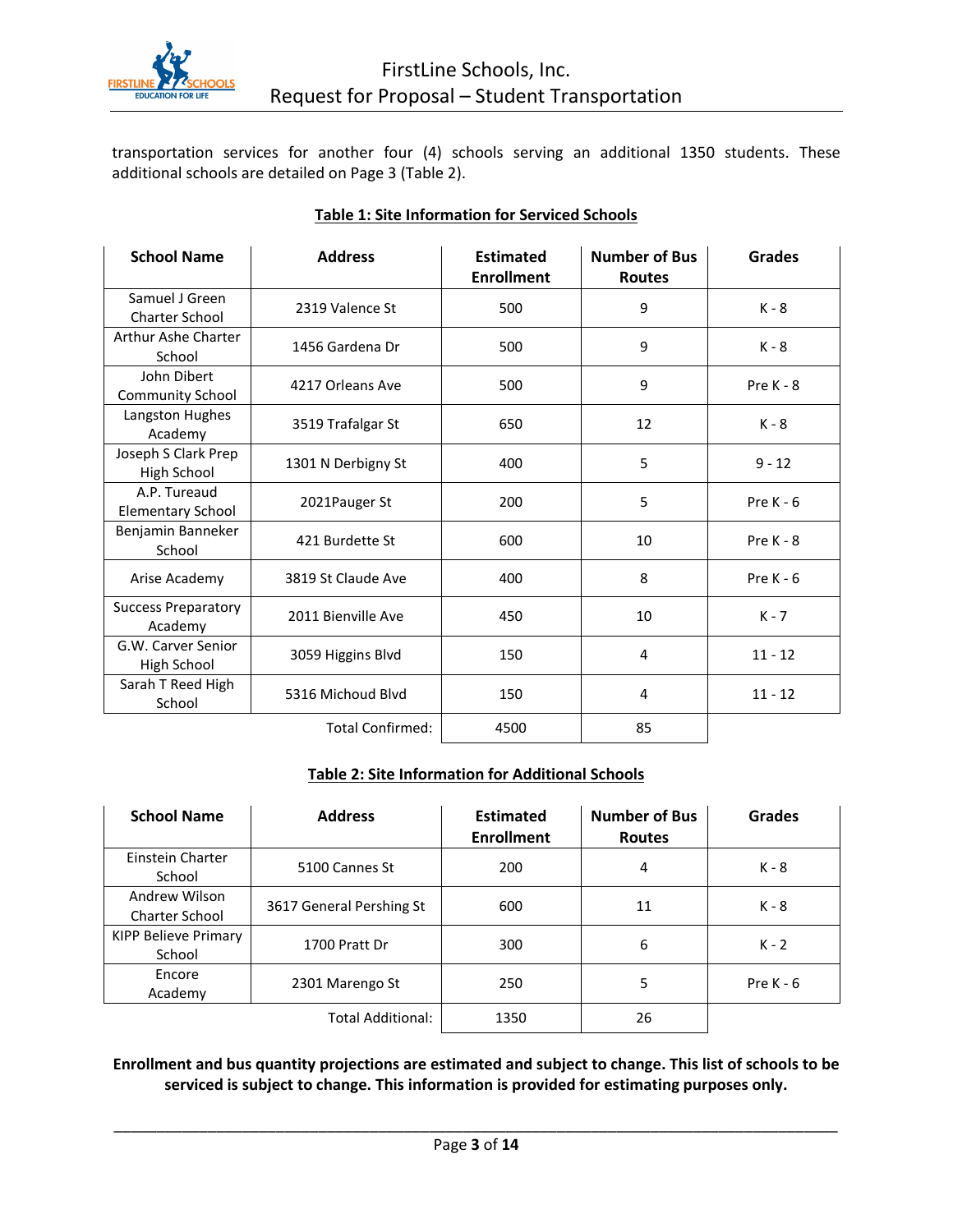

transportation services for another four (4) schools serving an additional 1350 students. These additional schools are detailed on Page 3 (Table 2).

| <b>School Name</b>                       | <b>Address</b>          | <b>Estimated</b><br><b>Enrollment</b> | <b>Number of Bus</b><br><b>Routes</b> | <b>Grades</b> |
|------------------------------------------|-------------------------|---------------------------------------|---------------------------------------|---------------|
| Samuel J Green<br><b>Charter School</b>  | 2319 Valence St         | 500                                   | 9                                     | $K - 8$       |
| Arthur Ashe Charter<br>School            | 1456 Gardena Dr         | 500                                   | 9                                     | $K - 8$       |
| John Dibert<br><b>Community School</b>   | 4217 Orleans Ave        | 500                                   | 9                                     | Pre $K - 8$   |
| Langston Hughes<br>Academy               | 3519 Trafalgar St       | 650                                   | 12                                    | $K - 8$       |
| Joseph S Clark Prep<br>High School       | 1301 N Derbigny St      | 400                                   | 5                                     | $9 - 12$      |
| A.P. Tureaud<br><b>Elementary School</b> | 2021Pauger St           | 200                                   | 5                                     | Pre $K - 6$   |
| Benjamin Banneker<br>School              | 421 Burdette St         | 600                                   | 10                                    | Pre $K - 8$   |
| Arise Academy                            | 3819 St Claude Ave      | 400                                   | 8                                     | Pre $K - 6$   |
| <b>Success Preparatory</b><br>Academy    | 2011 Bienville Ave      | 450                                   | 10                                    | $K - 7$       |
| G.W. Carver Senior<br>High School        | 3059 Higgins Blvd       | 150                                   | 4                                     | $11 - 12$     |
| Sarah T Reed High<br>School              | 5316 Michoud Blvd       | 150                                   | 4                                     | $11 - 12$     |
|                                          | <b>Total Confirmed:</b> | 4500                                  | 85                                    |               |

#### **Table 1: Site Information for Serviced Schools**

#### **Table 2: Site Information for Additional Schools**

| <b>School Name</b>                     | <b>Address</b>           | <b>Estimated</b><br><b>Enrollment</b> | <b>Number of Bus</b><br><b>Routes</b> | <b>Grades</b> |
|----------------------------------------|--------------------------|---------------------------------------|---------------------------------------|---------------|
| Einstein Charter<br>School             | 5100 Cannes St           | 200                                   | 4                                     | K - 8         |
| Andrew Wilson<br><b>Charter School</b> | 3617 General Pershing St | 600                                   | 11                                    | K - 8         |
| KIPP Believe Primary<br>School         | 1700 Pratt Dr            | 300                                   | 6                                     | $K - 2$       |
| Encore<br>Academy                      | 2301 Marengo St          | 250                                   | 5                                     | Pre $K - 6$   |
|                                        | Total Additional:        | 1350                                  | 26                                    |               |

**Enrollment and bus quantity projections are estimated and subject to change. This list of schools to be serviced is subject to change. This information is provided for estimating purposes only.**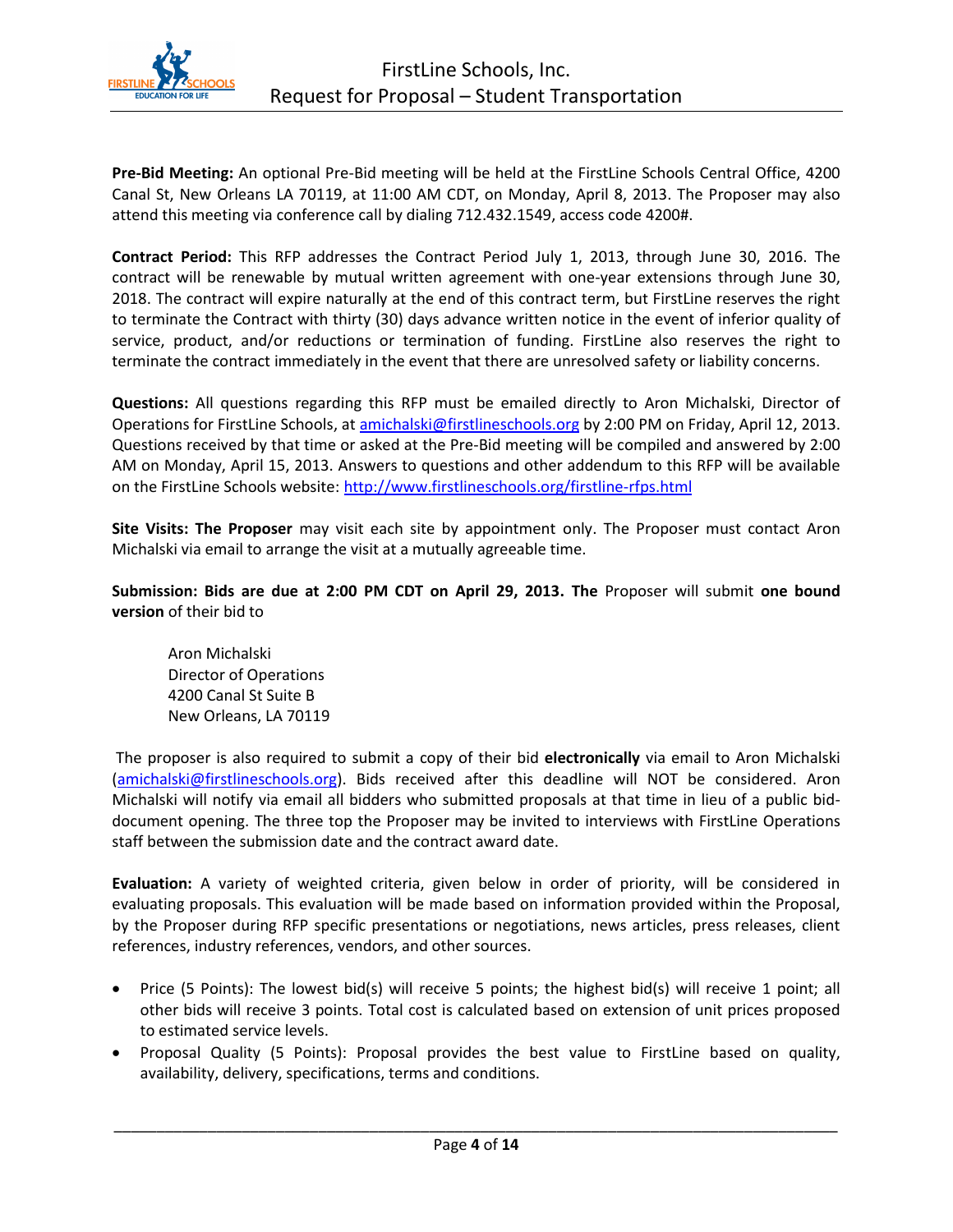

**Pre-Bid Meeting:** An optional Pre-Bid meeting will be held at the FirstLine Schools Central Office, 4200 Canal St, New Orleans LA 70119, at 11:00 AM CDT, on Monday, April 8, 2013. The Proposer may also attend this meeting via conference call by dialing 712.432.1549, access code 4200#.

**Contract Period:** This RFP addresses the Contract Period July 1, 2013, through June 30, 2016. The contract will be renewable by mutual written agreement with one-year extensions through June 30, 2018. The contract will expire naturally at the end of this contract term, but FirstLine reserves the right to terminate the Contract with thirty (30) days advance written notice in the event of inferior quality of service, product, and/or reductions or termination of funding. FirstLine also reserves the right to terminate the contract immediately in the event that there are unresolved safety or liability concerns.

**Questions:** All questions regarding this RFP must be emailed directly to Aron Michalski, Director of Operations for FirstLine Schools, at [amichalski@firstlineschools.org](mailto:amichalski@firstlineschools.org) by 2:00 PM on Friday, April 12, 2013. Questions received by that time or asked at the Pre-Bid meeting will be compiled and answered by 2:00 AM on Monday, April 15, 2013. Answers to questions and other addendum to this RFP will be available on the FirstLine Schools website[: http://www.firstlineschools.org/firstline-rfps.html](http://www.firstlineschools.org/firstline-rfps.html)

**Site Visits: The Proposer** may visit each site by appointment only. The Proposer must contact Aron Michalski via email to arrange the visit at a mutually agreeable time.

**Submission: Bids are due at 2:00 PM CDT on April 29, 2013. The** Proposer will submit **one bound version** of their bid to

Aron Michalski Director of Operations 4200 Canal St Suite B New Orleans, LA 70119

The proposer is also required to submit a copy of their bid **electronically** via email to Aron Michalski [\(amichalski@firstlineschools.org\)](mailto:amichalski@firstlineschools.org). Bids received after this deadline will NOT be considered. Aron Michalski will notify via email all bidders who submitted proposals at that time in lieu of a public biddocument opening. The three top the Proposer may be invited to interviews with FirstLine Operations staff between the submission date and the contract award date.

**Evaluation:** A variety of weighted criteria, given below in order of priority, will be considered in evaluating proposals. This evaluation will be made based on information provided within the Proposal, by the Proposer during RFP specific presentations or negotiations, news articles, press releases, client references, industry references, vendors, and other sources.

- Price (5 Points): The lowest bid(s) will receive 5 points; the highest bid(s) will receive 1 point; all other bids will receive 3 points. Total cost is calculated based on extension of unit prices proposed to estimated service levels.
- Proposal Quality (5 Points): Proposal provides the best value to FirstLine based on quality, availability, delivery, specifications, terms and conditions.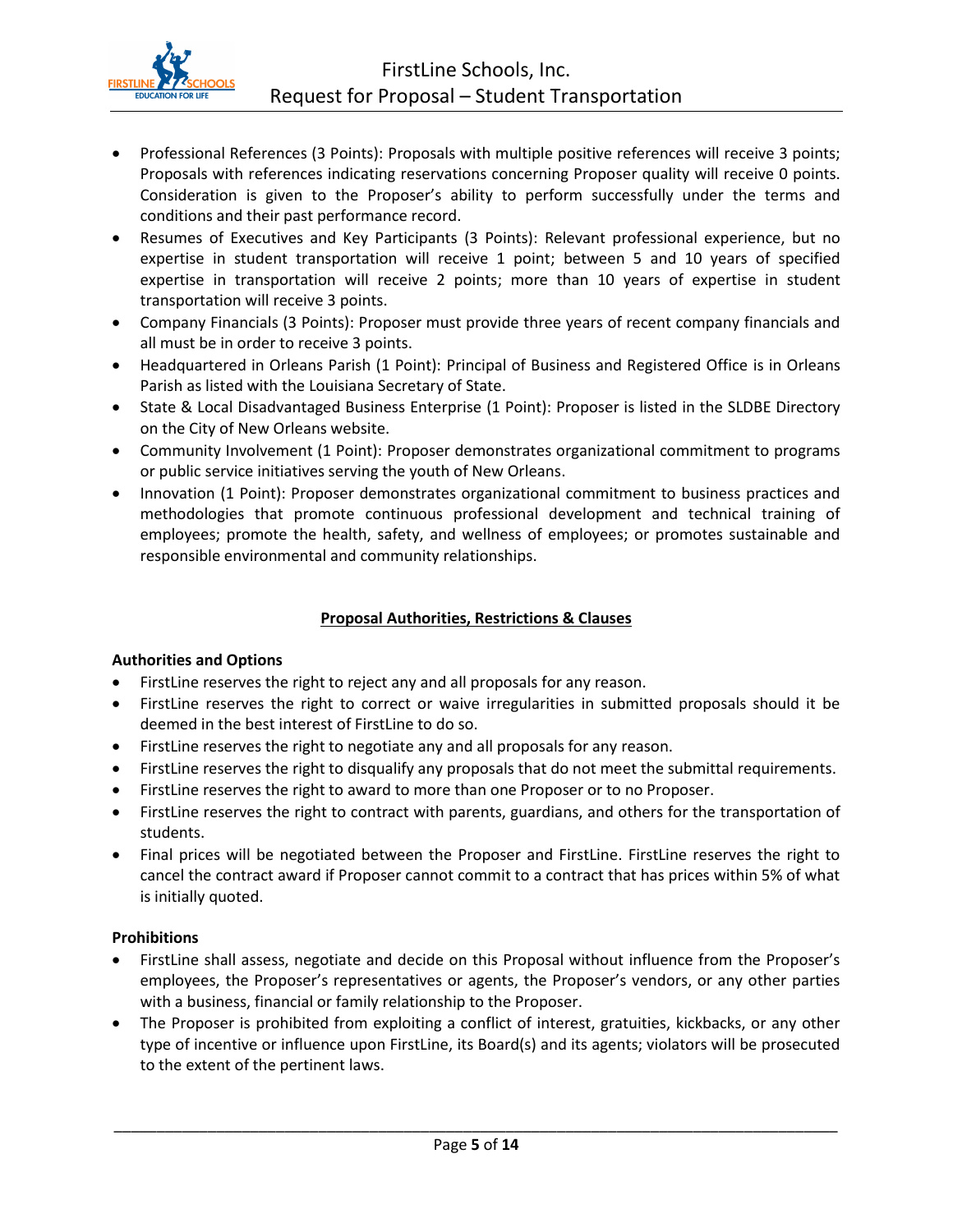

- Professional References (3 Points): Proposals with multiple positive references will receive 3 points; Proposals with references indicating reservations concerning Proposer quality will receive 0 points. Consideration is given to the Proposer's ability to perform successfully under the terms and conditions and their past performance record.
- Resumes of Executives and Key Participants (3 Points): Relevant professional experience, but no expertise in student transportation will receive 1 point; between 5 and 10 years of specified expertise in transportation will receive 2 points; more than 10 years of expertise in student transportation will receive 3 points.
- Company Financials (3 Points): Proposer must provide three years of recent company financials and all must be in order to receive 3 points.
- Headquartered in Orleans Parish (1 Point): Principal of Business and Registered Office is in Orleans Parish as listed with the Louisiana Secretary of State.
- State & Local Disadvantaged Business Enterprise (1 Point): Proposer is listed in the SLDBE Directory on the City of New Orleans website.
- Community Involvement (1 Point): Proposer demonstrates organizational commitment to programs or public service initiatives serving the youth of New Orleans.
- Innovation (1 Point): Proposer demonstrates organizational commitment to business practices and methodologies that promote continuous professional development and technical training of employees; promote the health, safety, and wellness of employees; or promotes sustainable and responsible environmental and community relationships.

#### **Proposal Authorities, Restrictions & Clauses**

#### **Authorities and Options**

- FirstLine reserves the right to reject any and all proposals for any reason.
- FirstLine reserves the right to correct or waive irregularities in submitted proposals should it be deemed in the best interest of FirstLine to do so.
- FirstLine reserves the right to negotiate any and all proposals for any reason.
- FirstLine reserves the right to disqualify any proposals that do not meet the submittal requirements.
- FirstLine reserves the right to award to more than one Proposer or to no Proposer.
- FirstLine reserves the right to contract with parents, guardians, and others for the transportation of students.
- Final prices will be negotiated between the Proposer and FirstLine. FirstLine reserves the right to cancel the contract award if Proposer cannot commit to a contract that has prices within 5% of what is initially quoted.

#### **Prohibitions**

- FirstLine shall assess, negotiate and decide on this Proposal without influence from the Proposer's employees, the Proposer's representatives or agents, the Proposer's vendors, or any other parties with a business, financial or family relationship to the Proposer.
- The Proposer is prohibited from exploiting a conflict of interest, gratuities, kickbacks, or any other type of incentive or influence upon FirstLine, its Board(s) and its agents; violators will be prosecuted to the extent of the pertinent laws.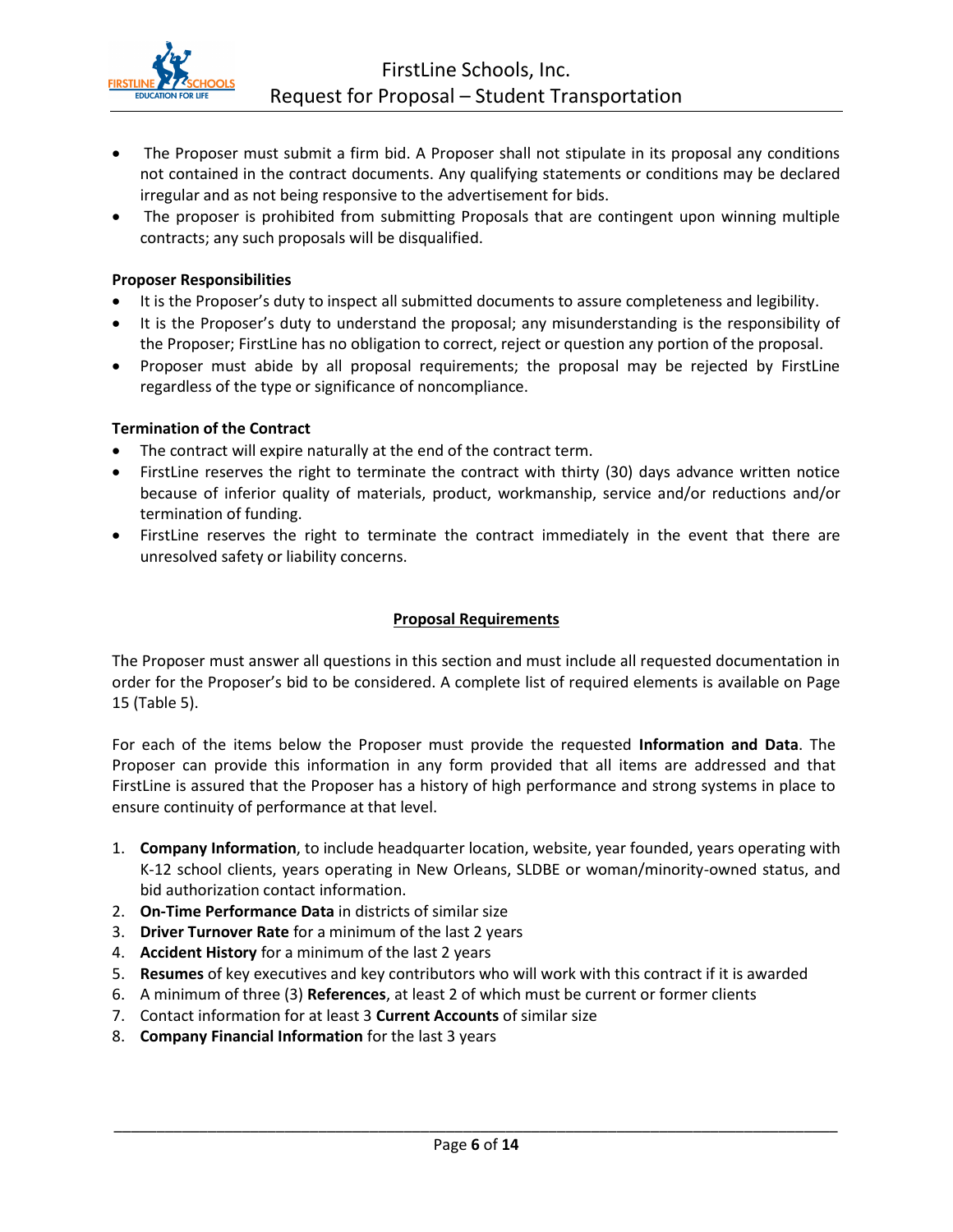

- The Proposer must submit a firm bid. A Proposer shall not stipulate in its proposal any conditions not contained in the contract documents. Any qualifying statements or conditions may be declared irregular and as not being responsive to the advertisement for bids.
- The proposer is prohibited from submitting Proposals that are contingent upon winning multiple contracts; any such proposals will be disqualified.

#### **Proposer Responsibilities**

- It is the Proposer's duty to inspect all submitted documents to assure completeness and legibility.
- It is the Proposer's duty to understand the proposal; any misunderstanding is the responsibility of the Proposer; FirstLine has no obligation to correct, reject or question any portion of the proposal.
- Proposer must abide by all proposal requirements; the proposal may be rejected by FirstLine regardless of the type or significance of noncompliance.

#### **Termination of the Contract**

- The contract will expire naturally at the end of the contract term.
- FirstLine reserves the right to terminate the contract with thirty (30) days advance written notice because of inferior quality of materials, product, workmanship, service and/or reductions and/or termination of funding.
- FirstLine reserves the right to terminate the contract immediately in the event that there are unresolved safety or liability concerns.

#### **Proposal Requirements**

The Proposer must answer all questions in this section and must include all requested documentation in order for the Proposer's bid to be considered. A complete list of required elements is available on Page 15 (Table 5).

For each of the items below the Proposer must provide the requested **Information and Data**. The Proposer can provide this information in any form provided that all items are addressed and that FirstLine is assured that the Proposer has a history of high performance and strong systems in place to ensure continuity of performance at that level.

- 1. **Company Information**, to include headquarter location, website, year founded, years operating with K-12 school clients, years operating in New Orleans, SLDBE or woman/minority-owned status, and bid authorization contact information.
- 2. **On-Time Performance Data** in districts of similar size
- 3. **Driver Turnover Rate** for a minimum of the last 2 years
- 4. **Accident History** for a minimum of the last 2 years
- 5. **Resumes** of key executives and key contributors who will work with this contract if it is awarded
- 6. A minimum of three (3) **References**, at least 2 of which must be current or former clients
- 7. Contact information for at least 3 **Current Accounts** of similar size
- 8. **Company Financial Information** for the last 3 years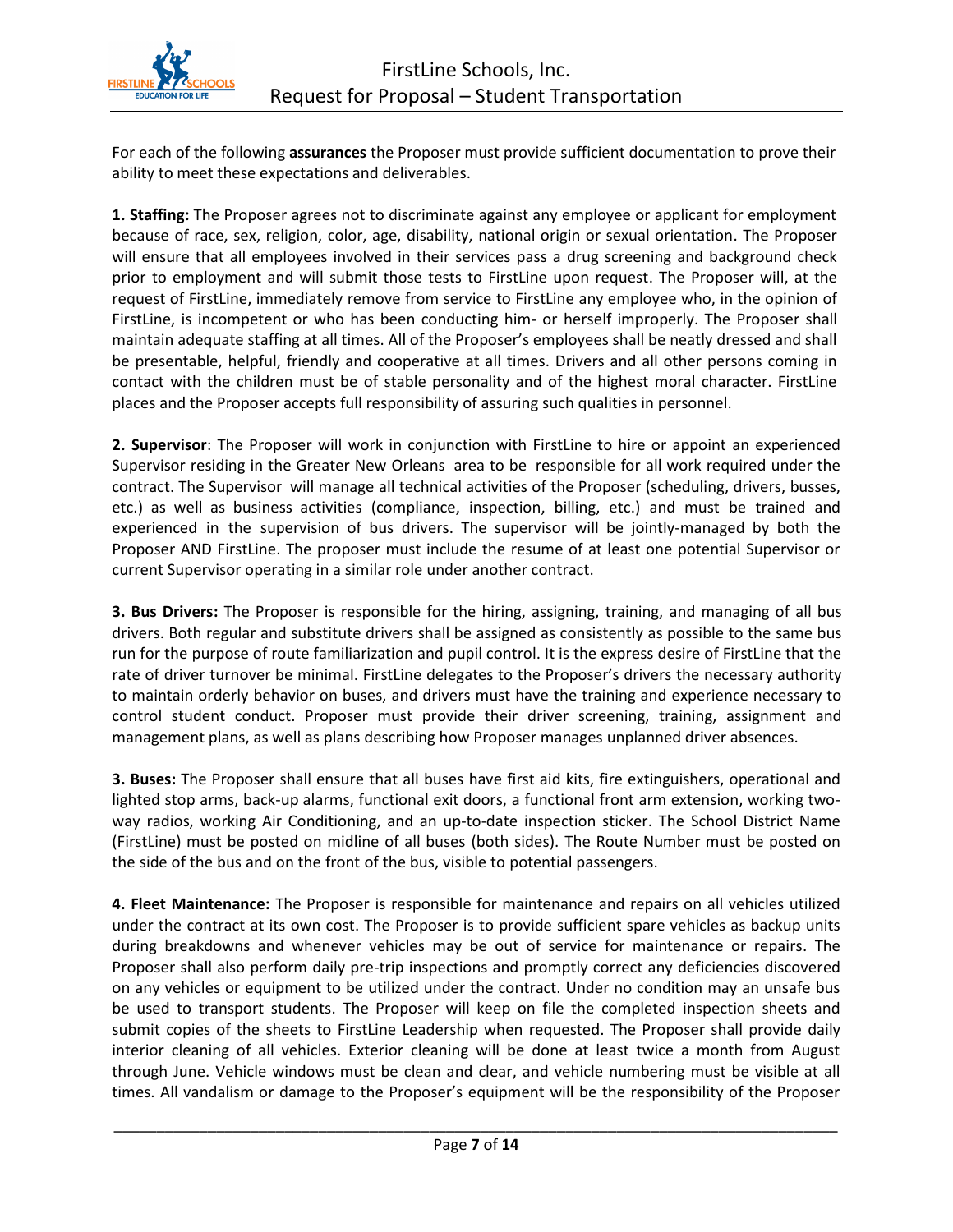For each of the following **assurances** the Proposer must provide sufficient documentation to prove their ability to meet these expectations and deliverables.

**1. Staffing:** The Proposer agrees not to discriminate against any employee or applicant for employment because of race, sex, religion, color, age, disability, national origin or sexual orientation. The Proposer will ensure that all employees involved in their services pass a drug screening and background check prior to employment and will submit those tests to FirstLine upon request. The Proposer will, at the request of FirstLine, immediately remove from service to FirstLine any employee who, in the opinion of FirstLine, is incompetent or who has been conducting him- or herself improperly. The Proposer shall maintain adequate staffing at all times. All of the Proposer's employees shall be neatly dressed and shall be presentable, helpful, friendly and cooperative at all times. Drivers and all other persons coming in contact with the children must be of stable personality and of the highest moral character. FirstLine places and the Proposer accepts full responsibility of assuring such qualities in personnel.

**2. Supervisor**: The Proposer will work in conjunction with FirstLine to hire or appoint an experienced Supervisor residing in the Greater New Orleans area to be responsible for all work required under the contract. The Supervisor will manage all technical activities of the Proposer (scheduling, drivers, busses, etc.) as well as business activities (compliance, inspection, billing, etc.) and must be trained and experienced in the supervision of bus drivers. The supervisor will be jointly-managed by both the Proposer AND FirstLine. The proposer must include the resume of at least one potential Supervisor or current Supervisor operating in a similar role under another contract.

**3. Bus Drivers:** The Proposer is responsible for the hiring, assigning, training, and managing of all bus drivers. Both regular and substitute drivers shall be assigned as consistently as possible to the same bus run for the purpose of route familiarization and pupil control. It is the express desire of FirstLine that the rate of driver turnover be minimal. FirstLine delegates to the Proposer's drivers the necessary authority to maintain orderly behavior on buses, and drivers must have the training and experience necessary to control student conduct. Proposer must provide their driver screening, training, assignment and management plans, as well as plans describing how Proposer manages unplanned driver absences.

**3. Buses:** The Proposer shall ensure that all buses have first aid kits, fire extinguishers, operational and lighted stop arms, back-up alarms, functional exit doors, a functional front arm extension, working twoway radios, working Air Conditioning, and an up-to-date inspection sticker. The School District Name (FirstLine) must be posted on midline of all buses (both sides). The Route Number must be posted on the side of the bus and on the front of the bus, visible to potential passengers.

**4. Fleet Maintenance:** The Proposer is responsible for maintenance and repairs on all vehicles utilized under the contract at its own cost. The Proposer is to provide sufficient spare vehicles as backup units during breakdowns and whenever vehicles may be out of service for maintenance or repairs. The Proposer shall also perform daily pre-trip inspections and promptly correct any deficiencies discovered on any vehicles or equipment to be utilized under the contract. Under no condition may an unsafe bus be used to transport students. The Proposer will keep on file the completed inspection sheets and submit copies of the sheets to FirstLine Leadership when requested. The Proposer shall provide daily interior cleaning of all vehicles. Exterior cleaning will be done at least twice a month from August through June. Vehicle windows must be clean and clear, and vehicle numbering must be visible at all times. All vandalism or damage to the Proposer's equipment will be the responsibility of the Proposer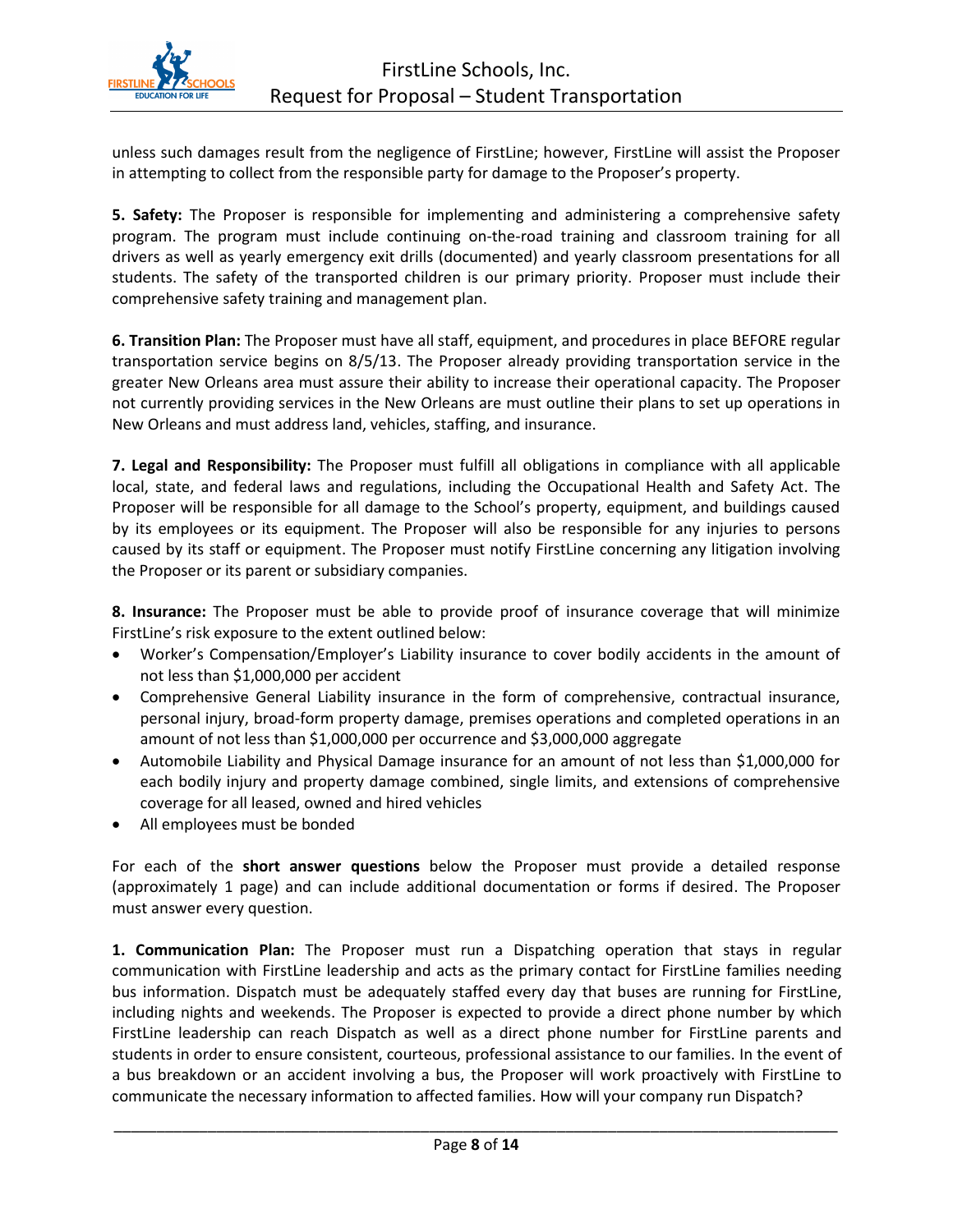

unless such damages result from the negligence of FirstLine; however, FirstLine will assist the Proposer in attempting to collect from the responsible party for damage to the Proposer's property.

**5. Safety:** The Proposer is responsible for implementing and administering a comprehensive safety program. The program must include continuing on-the-road training and classroom training for all drivers as well as yearly emergency exit drills (documented) and yearly classroom presentations for all students. The safety of the transported children is our primary priority. Proposer must include their comprehensive safety training and management plan.

**6. Transition Plan:** The Proposer must have all staff, equipment, and procedures in place BEFORE regular transportation service begins on 8/5/13. The Proposer already providing transportation service in the greater New Orleans area must assure their ability to increase their operational capacity. The Proposer not currently providing services in the New Orleans are must outline their plans to set up operations in New Orleans and must address land, vehicles, staffing, and insurance.

**7. Legal and Responsibility:** The Proposer must fulfill all obligations in compliance with all applicable local, state, and federal laws and regulations, including the Occupational Health and Safety Act. The Proposer will be responsible for all damage to the School's property, equipment, and buildings caused by its employees or its equipment. The Proposer will also be responsible for any injuries to persons caused by its staff or equipment. The Proposer must notify FirstLine concerning any litigation involving the Proposer or its parent or subsidiary companies.

**8. Insurance:** The Proposer must be able to provide proof of insurance coverage that will minimize FirstLine's risk exposure to the extent outlined below:

- Worker's Compensation/Employer's Liability insurance to cover bodily accidents in the amount of not less than \$1,000,000 per accident
- Comprehensive General Liability insurance in the form of comprehensive, contractual insurance, personal injury, broad-form property damage, premises operations and completed operations in an amount of not less than \$1,000,000 per occurrence and \$3,000,000 aggregate
- Automobile Liability and Physical Damage insurance for an amount of not less than \$1,000,000 for each bodily injury and property damage combined, single limits, and extensions of comprehensive coverage for all leased, owned and hired vehicles
- All employees must be bonded

For each of the **short answer questions** below the Proposer must provide a detailed response (approximately 1 page) and can include additional documentation or forms if desired. The Proposer must answer every question.

**1. Communication Plan:** The Proposer must run a Dispatching operation that stays in regular communication with FirstLine leadership and acts as the primary contact for FirstLine families needing bus information. Dispatch must be adequately staffed every day that buses are running for FirstLine, including nights and weekends. The Proposer is expected to provide a direct phone number by which FirstLine leadership can reach Dispatch as well as a direct phone number for FirstLine parents and students in order to ensure consistent, courteous, professional assistance to our families. In the event of a bus breakdown or an accident involving a bus, the Proposer will work proactively with FirstLine to communicate the necessary information to affected families. How will your company run Dispatch?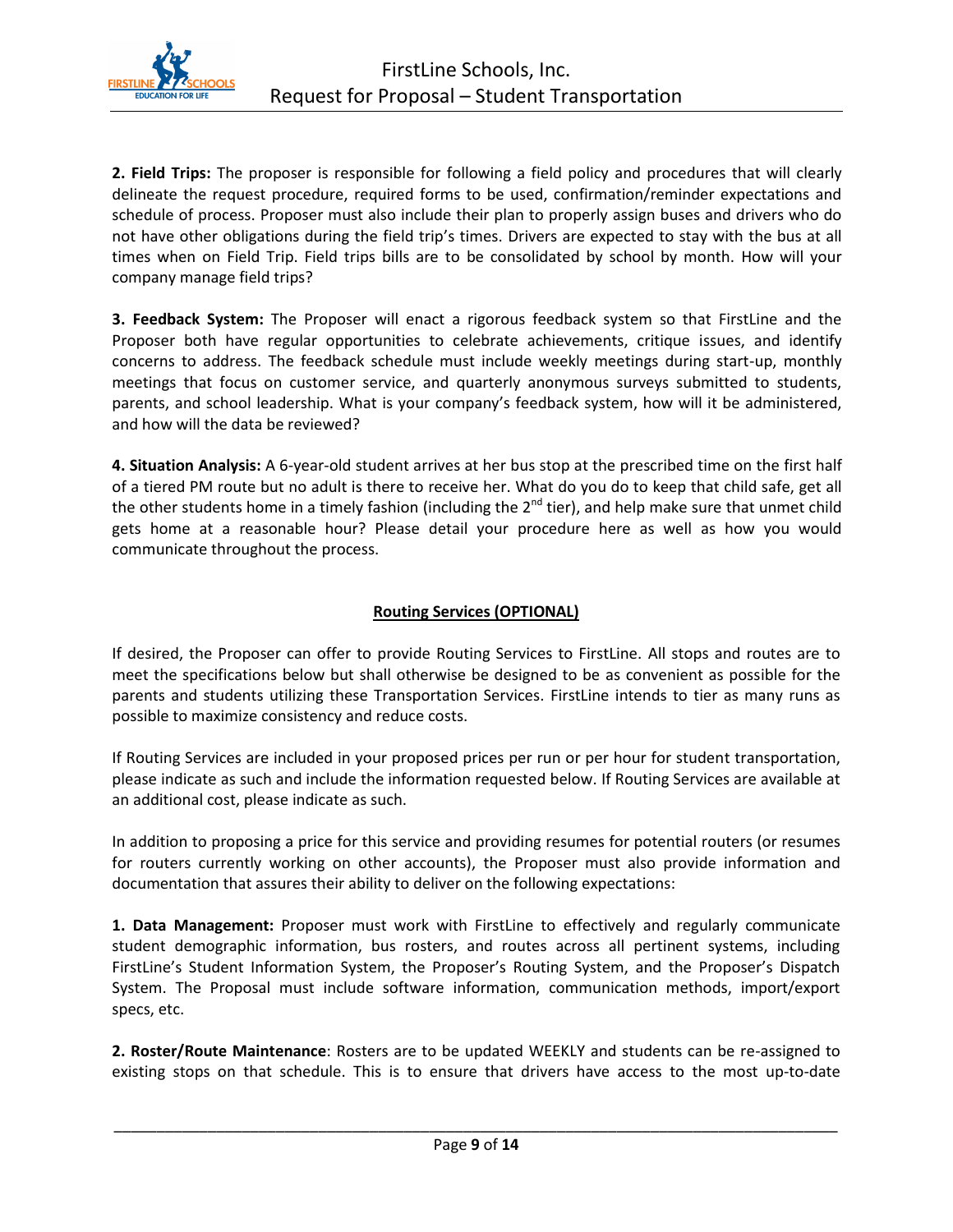

**2. Field Trips:** The proposer is responsible for following a field policy and procedures that will clearly delineate the request procedure, required forms to be used, confirmation/reminder expectations and schedule of process. Proposer must also include their plan to properly assign buses and drivers who do not have other obligations during the field trip's times. Drivers are expected to stay with the bus at all times when on Field Trip. Field trips bills are to be consolidated by school by month. How will your company manage field trips?

**3. Feedback System:** The Proposer will enact a rigorous feedback system so that FirstLine and the Proposer both have regular opportunities to celebrate achievements, critique issues, and identify concerns to address. The feedback schedule must include weekly meetings during start-up, monthly meetings that focus on customer service, and quarterly anonymous surveys submitted to students, parents, and school leadership. What is your company's feedback system, how will it be administered, and how will the data be reviewed?

**4. Situation Analysis:** A 6-year-old student arrives at her bus stop at the prescribed time on the first half of a tiered PM route but no adult is there to receive her. What do you do to keep that child safe, get all the other students home in a timely fashion (including the  $2^{nd}$  tier), and help make sure that unmet child gets home at a reasonable hour? Please detail your procedure here as well as how you would communicate throughout the process.

#### **Routing Services (OPTIONAL)**

If desired, the Proposer can offer to provide Routing Services to FirstLine. All stops and routes are to meet the specifications below but shall otherwise be designed to be as convenient as possible for the parents and students utilizing these Transportation Services. FirstLine intends to tier as many runs as possible to maximize consistency and reduce costs.

If Routing Services are included in your proposed prices per run or per hour for student transportation, please indicate as such and include the information requested below. If Routing Services are available at an additional cost, please indicate as such.

In addition to proposing a price for this service and providing resumes for potential routers (or resumes for routers currently working on other accounts), the Proposer must also provide information and documentation that assures their ability to deliver on the following expectations:

**1. Data Management:** Proposer must work with FirstLine to effectively and regularly communicate student demographic information, bus rosters, and routes across all pertinent systems, including FirstLine's Student Information System, the Proposer's Routing System, and the Proposer's Dispatch System. The Proposal must include software information, communication methods, import/export specs, etc.

**2. Roster/Route Maintenance**: Rosters are to be updated WEEKLY and students can be re-assigned to existing stops on that schedule. This is to ensure that drivers have access to the most up-to-date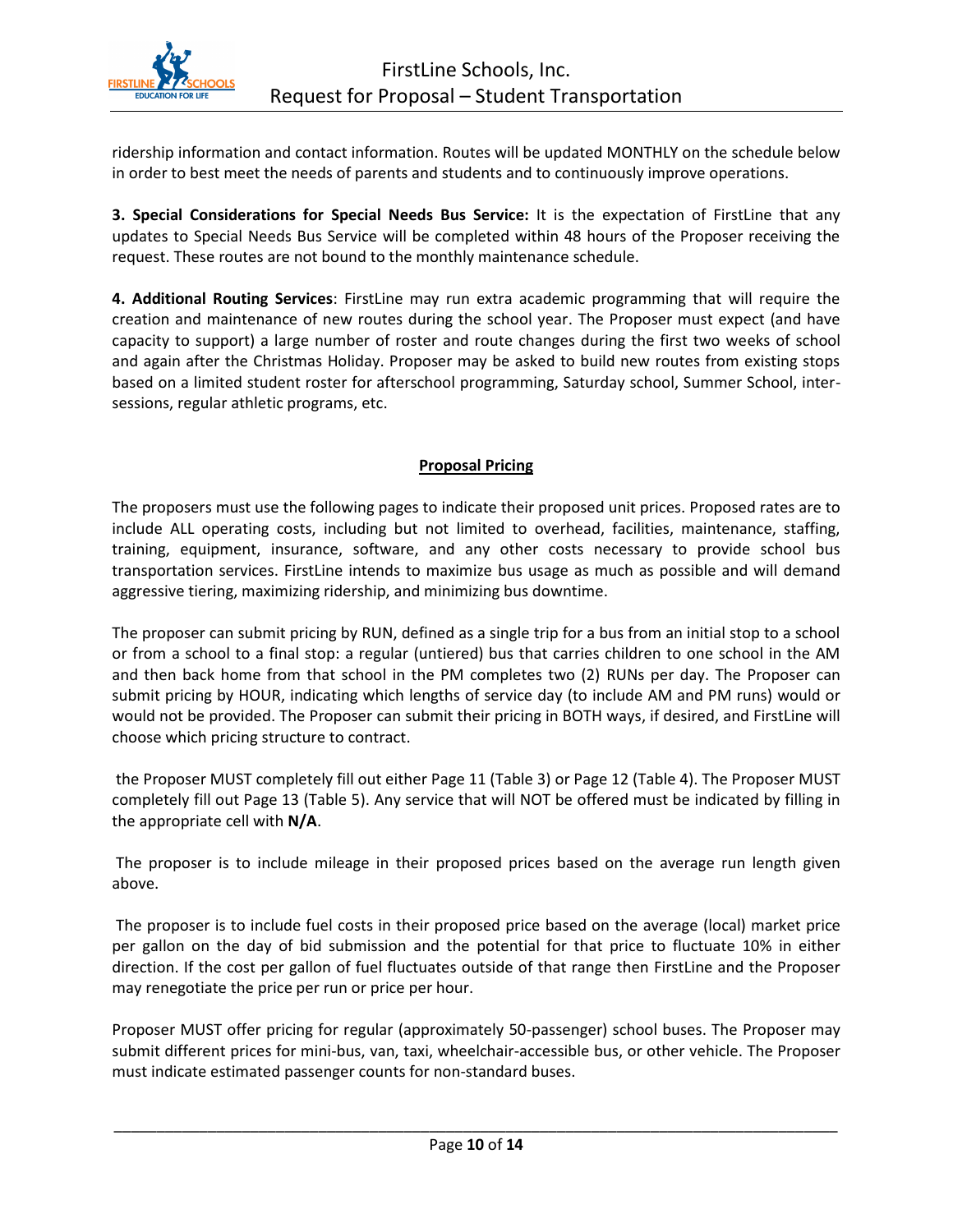

ridership information and contact information. Routes will be updated MONTHLY on the schedule below in order to best meet the needs of parents and students and to continuously improve operations.

**3. Special Considerations for Special Needs Bus Service:** It is the expectation of FirstLine that any updates to Special Needs Bus Service will be completed within 48 hours of the Proposer receiving the request. These routes are not bound to the monthly maintenance schedule.

**4. Additional Routing Services**: FirstLine may run extra academic programming that will require the creation and maintenance of new routes during the school year. The Proposer must expect (and have capacity to support) a large number of roster and route changes during the first two weeks of school and again after the Christmas Holiday. Proposer may be asked to build new routes from existing stops based on a limited student roster for afterschool programming, Saturday school, Summer School, intersessions, regular athletic programs, etc.

#### **Proposal Pricing**

The proposers must use the following pages to indicate their proposed unit prices. Proposed rates are to include ALL operating costs, including but not limited to overhead, facilities, maintenance, staffing, training, equipment, insurance, software, and any other costs necessary to provide school bus transportation services. FirstLine intends to maximize bus usage as much as possible and will demand aggressive tiering, maximizing ridership, and minimizing bus downtime.

The proposer can submit pricing by RUN, defined as a single trip for a bus from an initial stop to a school or from a school to a final stop: a regular (untiered) bus that carries children to one school in the AM and then back home from that school in the PM completes two (2) RUNs per day. The Proposer can submit pricing by HOUR, indicating which lengths of service day (to include AM and PM runs) would or would not be provided. The Proposer can submit their pricing in BOTH ways, if desired, and FirstLine will choose which pricing structure to contract.

the Proposer MUST completely fill out either Page 11 (Table 3) or Page 12 (Table 4). The Proposer MUST completely fill out Page 13 (Table 5). Any service that will NOT be offered must be indicated by filling in the appropriate cell with **N/A**.

The proposer is to include mileage in their proposed prices based on the average run length given above.

The proposer is to include fuel costs in their proposed price based on the average (local) market price per gallon on the day of bid submission and the potential for that price to fluctuate 10% in either direction. If the cost per gallon of fuel fluctuates outside of that range then FirstLine and the Proposer may renegotiate the price per run or price per hour.

Proposer MUST offer pricing for regular (approximately 50-passenger) school buses. The Proposer may submit different prices for mini-bus, van, taxi, wheelchair-accessible bus, or other vehicle. The Proposer must indicate estimated passenger counts for non-standard buses.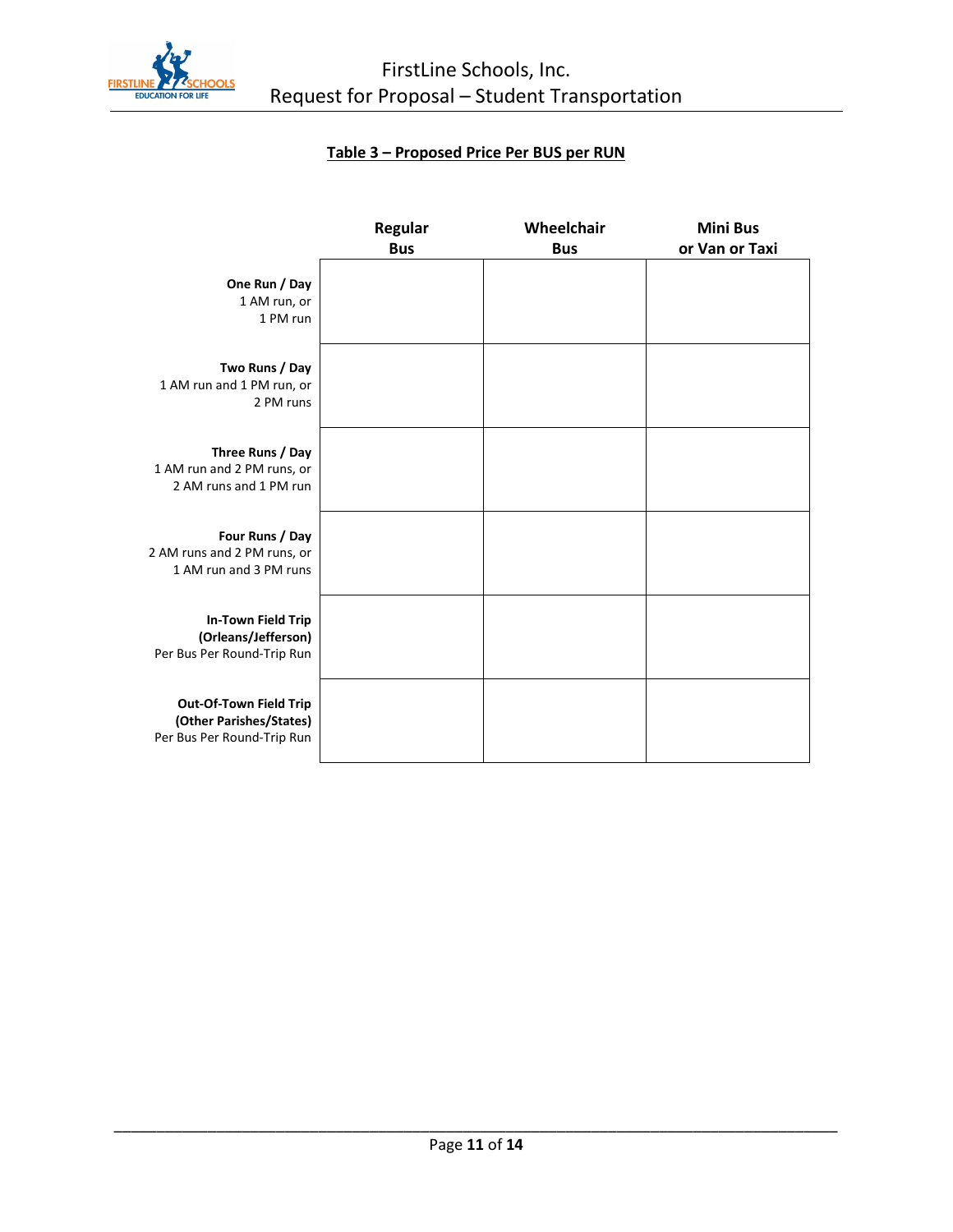

# **Table 3 – Proposed Price Per BUS per RUN**

|                                                                                 | Regular<br><b>Bus</b> | Wheelchair<br><b>Bus</b> | <b>Mini Bus</b><br>or Van or Taxi |
|---------------------------------------------------------------------------------|-----------------------|--------------------------|-----------------------------------|
| One Run / Day<br>1 AM run, or<br>1 PM run                                       |                       |                          |                                   |
| Two Runs / Day<br>1 AM run and 1 PM run, or<br>2 PM runs                        |                       |                          |                                   |
| Three Runs / Day<br>1 AM run and 2 PM runs, or<br>2 AM runs and 1 PM run        |                       |                          |                                   |
| Four Runs / Day<br>2 AM runs and 2 PM runs, or<br>1 AM run and 3 PM runs        |                       |                          |                                   |
| In-Town Field Trip<br>(Orleans/Jefferson)<br>Per Bus Per Round-Trip Run         |                       |                          |                                   |
| Out-Of-Town Field Trip<br>(Other Parishes/States)<br>Per Bus Per Round-Trip Run |                       |                          |                                   |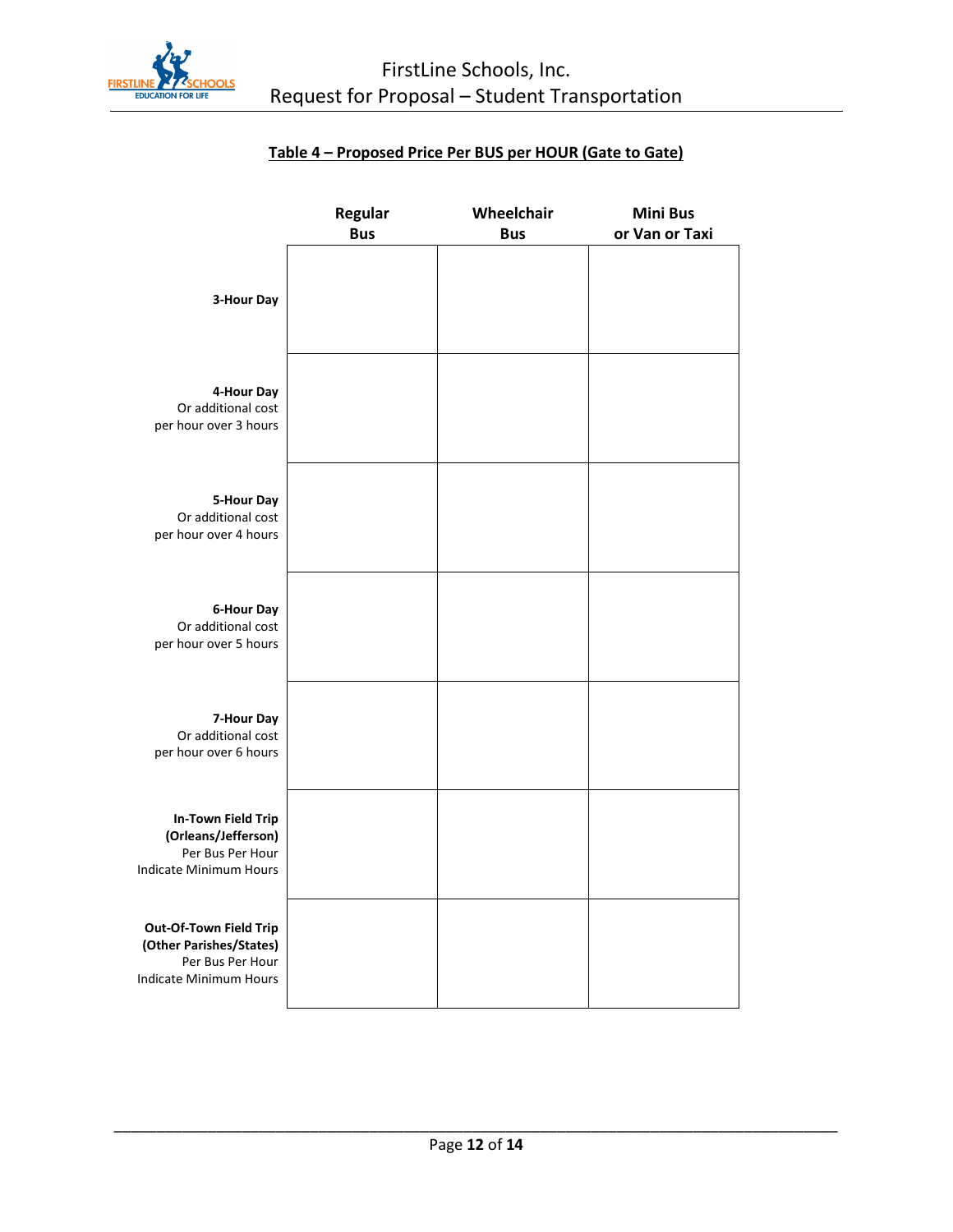

# **Table 4 – Proposed Price Per BUS per HOUR (Gate to Gate)**

|                                                                                                 | Regular<br><b>Bus</b> | Wheelchair<br><b>Bus</b> | <b>Mini Bus</b><br>or Van or Taxi |
|-------------------------------------------------------------------------------------------------|-----------------------|--------------------------|-----------------------------------|
| 3-Hour Day                                                                                      |                       |                          |                                   |
| 4-Hour Day<br>Or additional cost<br>per hour over 3 hours                                       |                       |                          |                                   |
| 5-Hour Day<br>Or additional cost<br>per hour over 4 hours                                       |                       |                          |                                   |
| 6-Hour Day<br>Or additional cost<br>per hour over 5 hours                                       |                       |                          |                                   |
| 7-Hour Day<br>Or additional cost<br>per hour over 6 hours                                       |                       |                          |                                   |
| <b>In-Town Field Trip</b><br>(Orleans/Jefferson)<br>Per Bus Per Hour<br>Indicate Minimum Hours  |                       |                          |                                   |
| Out-Of-Town Field Trip<br>(Other Parishes/States)<br>Per Bus Per Hour<br>Indicate Minimum Hours |                       |                          |                                   |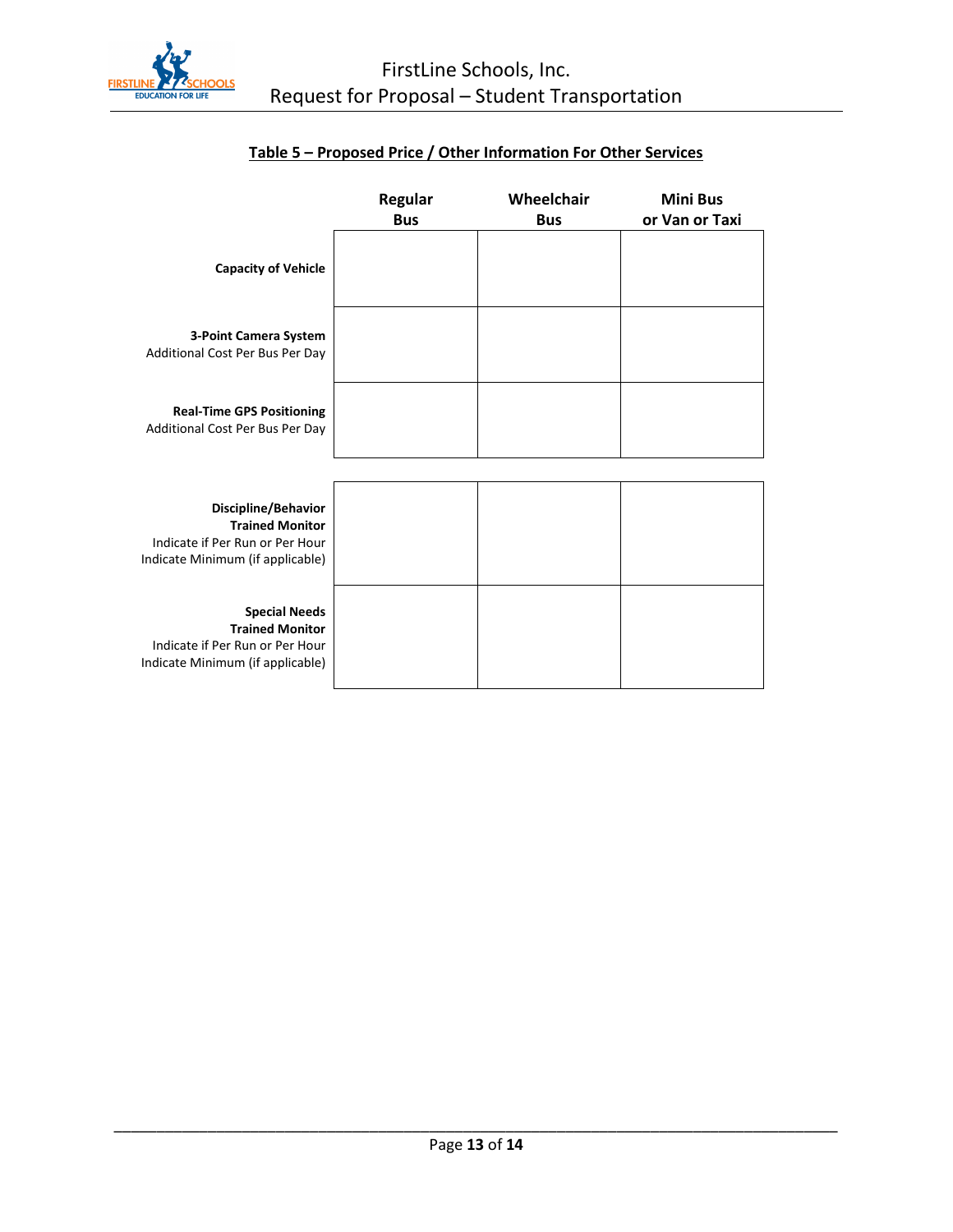

|                                                                                                                       | <b>Regular</b><br><b>Bus</b> | Wheelchair<br><b>Bus</b> | <b>Mini Bus</b><br>or Van or Taxi |
|-----------------------------------------------------------------------------------------------------------------------|------------------------------|--------------------------|-----------------------------------|
| <b>Capacity of Vehicle</b>                                                                                            |                              |                          |                                   |
| 3-Point Camera System<br>Additional Cost Per Bus Per Day                                                              |                              |                          |                                   |
| <b>Real-Time GPS Positioning</b><br>Additional Cost Per Bus Per Day                                                   |                              |                          |                                   |
|                                                                                                                       |                              |                          |                                   |
| Discipline/Behavior<br><b>Trained Monitor</b><br>Indicate if Per Run or Per Hour<br>Indicate Minimum (if applicable)  |                              |                          |                                   |
| <b>Special Needs</b><br><b>Trained Monitor</b><br>Indicate if Per Run or Per Hour<br>Indicate Minimum (if applicable) |                              |                          |                                   |

# **Table 5 – Proposed Price / Other Information For Other Services**